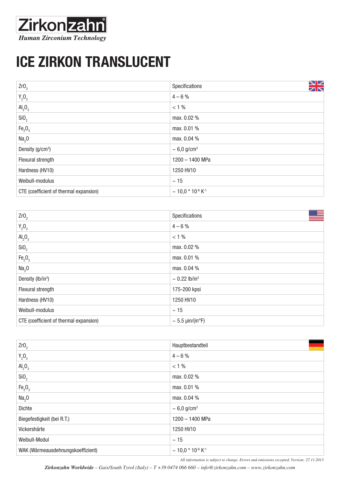## **Zirkonzahn Human Zirconium Technology**

## ICE Zirkon Translucent

| ZrO <sub>2</sub>                       | NZ<br>Specifications<br>ZN               |
|----------------------------------------|------------------------------------------|
| $Y_2O_3$                               | $4 - 6%$                                 |
| $\text{Al}_2\text{O}_3$                | $< 1\%$                                  |
| SiO <sub>2</sub>                       | max. 0.02 %                              |
| Fe <sub>2</sub> O <sub>3</sub>         | max. 0.01 %                              |
| Na <sub>2</sub> 0                      | max. 0.04 %                              |
| Density $(g/cm^3)$                     | $\sim 6.0$ g/cm <sup>3</sup>             |
| Flexural strength                      | 1200 - 1400 MPa                          |
| Hardness (HV10)                        | 1250 HV10                                |
| Weibull-modulus                        | $\sim 15$                                |
| CTE (coefficient of thermal expansion) | $\sim$ 10,0 $*$ 10 $\cdot$ 6 K $\cdot$ 1 |

| Zr0 <sub>2</sub>                       | ≝<br>Specifications            |
|----------------------------------------|--------------------------------|
| $Y_2O_3$                               | $4 - 6 %$                      |
| $\text{Al}_2\text{O}_3$                | $< 1\%$                        |
| SiO <sub>2</sub>                       | max. 0.02 %                    |
| Fe <sub>2</sub> O <sub>3</sub>         | max. 0.01 %                    |
| Na <sub>2</sub> 0                      | max. 0.04 %                    |
| Density (lb/in <sup>3</sup> )          | $\sim 0.22$ lb/in <sup>3</sup> |
| Flexural strength                      | 175-200 kpsi                   |
| Hardness (HV10)                        | 1250 HV10                      |
| Weibull-modulus                        | $\sim 15$                      |
| CTE (coefficient of thermal expansion) | $\sim$ 5.5 µin/(in°F)          |

| Zr0 <sub>2</sub>                  | Hauptbestandteil                         |
|-----------------------------------|------------------------------------------|
| $Y_2O_3$                          | $4 - 6%$                                 |
| $\text{Al}_2\text{O}_3$           | $< 1\%$                                  |
| SiO <sub>2</sub>                  | max. 0.02 %                              |
| Fe <sub>2</sub> O <sub>3</sub>    | max. 0.01 %                              |
| Na <sub>2</sub> 0                 | max. 0.04 %                              |
| <b>Dichte</b>                     | $\sim 6.0$ g/cm <sup>3</sup>             |
| Biegefestigkeit (bei R.T.)        | 1200 - 1400 MPa                          |
| Vickershärte                      | 1250 HV10                                |
| Weibull-Modul                     | $\sim 15$                                |
| WAK (Wärmeausdehnungskoeffizient) | $\sim$ 10,0 $*$ 10 $\cdot$ 6 K $\cdot$ 1 |

*All information is subject to change. Errors and omissions excepted. Version: 27.11.2013*

*Zirkonzahn Worldwide – Gais/South Tyrol (Italy) – T +39 0474 066 660 – info@zirkonzahn.com – www.zirkonzahn.com*